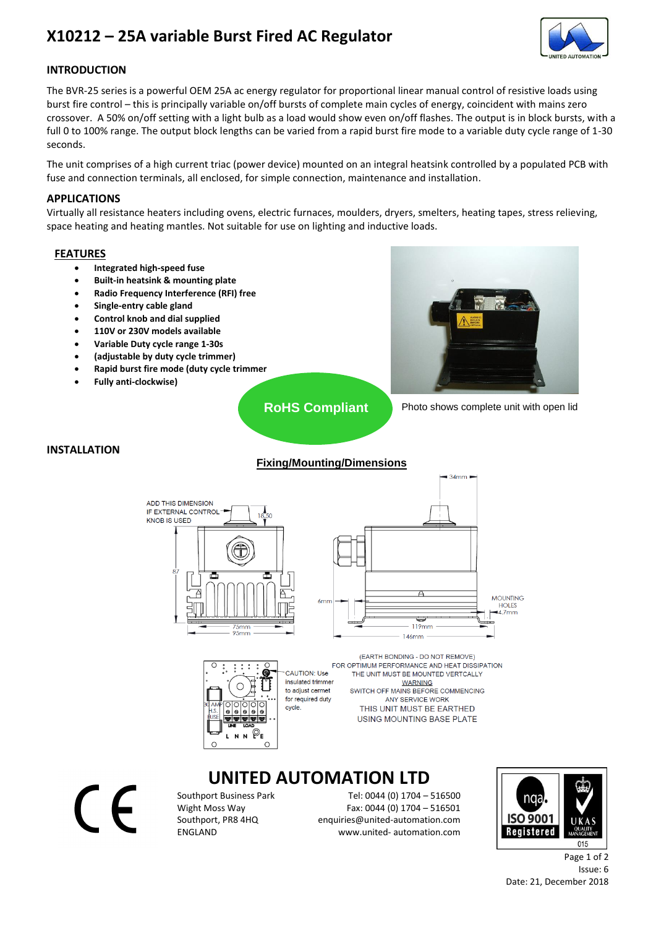## **X10212 – 25A variable Burst Fired AC Regulator**



## **INTRODUCTION**

The BVR-25 series is a powerful OEM 25A ac energy regulator for proportional linear manual control of resistive loads using burst fire control – this is principally variable on/off bursts of complete main cycles of energy, coincident with mains zero crossover. A 50% on/off setting with a light bulb as a load would show even on/off flashes. The output is in block bursts, with a full 0 to 100% range. The output block lengths can be varied from a rapid burst fire mode to a variable duty cycle range of 1-30 seconds.

The unit comprises of a high current triac (power device) mounted on an integral heatsink controlled by a populated PCB with fuse and connection terminals, all enclosed, for simple connection, maintenance and installation.

#### **APPLICATIONS**

Virtually all resistance heaters including ovens, electric furnaces, moulders, dryers, smelters, heating tapes, stress relieving, space heating and heating mantles. Not suitable for use on lighting and inductive loads.

#### **FEATURES**

- **Integrated high-speed fuse**
- **Built-in heatsink & mounting plate**
- **Radio Frequency Interference (RFI) free**
- **Single-entry cable gland**
- **Control knob and dial supplied**
- **110V or 230V models available**
- **Variable Duty cycle range 1-30s**
- **(adjustable by duty cycle trimmer)**
- **Rapid burst fire mode (duty cycle trimmer**
- **Fully anti-clockwise)**



Photo shows complete unit with open lid

34mm

#### **INSTALLATION**

 $\mathsf{C}\mathsf{F}$ 

## **Fixing/Mounting/Dimensions**

**RoHS Compliant**





(EARTH BONDING - DO NOT REMOVE) FOR OPTIMUM PERFORMANCE AND HEAT DISSIPATION CALITION: Use THE UNIT MUST BE MOUNTED VERTCALLY insulated trimmer WARNING<br>SWITCH OFF MAINS BEFORE COMMENCING to adjust cermet for required duty **ANY SERVICE WORK** THIS UNIT MUST BE EARTHED USING MOUNTING BASE PLATE

## **UNITED AUTOMATION LTD**

Southport Business Park Tel: 0044 (0) 1704 – 516500 Wight Moss Way Fax: 0044 (0) 1704 – 516501 Southport, PR8 4HQ enquiries@united-automation.com ENGLAND www.united- automation.com



Page 1 of 2 Issue: 6 Date: 21, December 2018